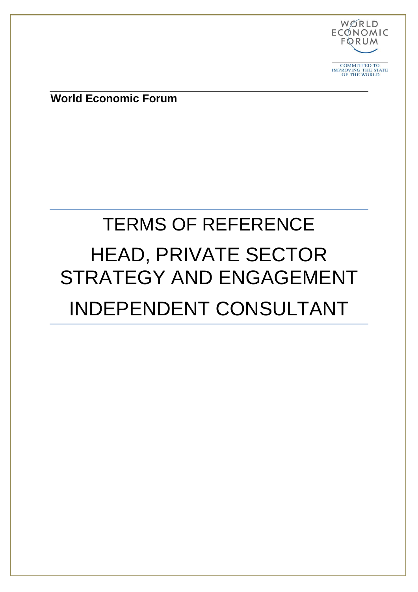

**World Economic Forum**

# TERMS OF REFERENCE HEAD, PRIVATE SECTOR STRATEGY AND ENGAGEMENT INDEPENDENT CONSULTANT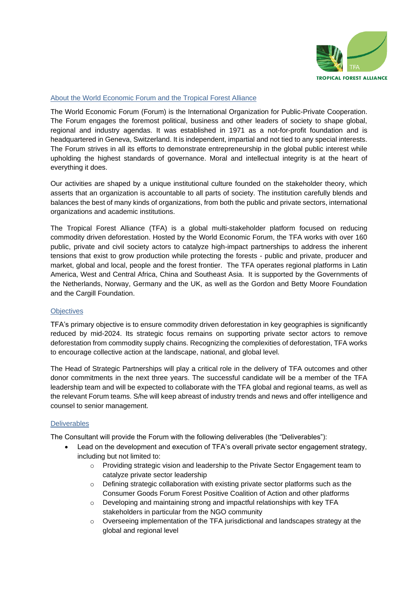

## About the World Economic Forum and the Tropical Forest Alliance

The World Economic Forum (Forum) is the International Organization for Public-Private Cooperation. The Forum engages the foremost political, business and other leaders of society to shape global, regional and industry agendas. It was established in 1971 as a not-for-profit foundation and is headquartered in Geneva, Switzerland. It is independent, impartial and not tied to any special interests. The Forum strives in all its efforts to demonstrate entrepreneurship in the global public interest while upholding the highest standards of governance. Moral and intellectual integrity is at the heart of everything it does.

Our activities are shaped by a unique institutional culture founded on the stakeholder theory, which asserts that an organization is accountable to all parts of society. The institution carefully blends and balances the best of many kinds of organizations, from both the public and private sectors, international organizations and academic institutions.

The Tropical Forest Alliance (TFA) is a global multi-stakeholder platform focused on reducing commodity driven deforestation. Hosted by the World Economic Forum, the TFA works with over 160 public, private and civil society actors to catalyze high-impact partnerships to address the inherent tensions that exist to grow production while protecting the forests - public and private, producer and market, global and local, people and the forest frontier. The TFA operates regional platforms in Latin America, West and Central Africa, China and Southeast Asia. It is supported by the Governments of the Netherlands, Norway, Germany and the UK, as well as the Gordon and Betty Moore Foundation and the Cargill Foundation.

## **Objectives**

TFA's primary objective is to ensure commodity driven deforestation in key geographies is significantly reduced by mid-2024. Its strategic focus remains on supporting private sector actors to remove deforestation from commodity supply chains. Recognizing the complexities of deforestation, TFA works to encourage collective action at the landscape, national, and global level.

The Head of Strategic Partnerships will play a critical role in the delivery of TFA outcomes and other donor commitments in the next three years. The successful candidate will be a member of the TFA leadership team and will be expected to collaborate with the TFA global and regional teams, as well as the relevant Forum teams. S/he will keep abreast of industry trends and news and offer intelligence and counsel to senior management.

## **Deliverables**

The Consultant will provide the Forum with the following deliverables (the "Deliverables"):

- Lead on the development and execution of TFA's overall private sector engagement strategy, including but not limited to:
	- $\circ$  Providing strategic vision and leadership to the Private Sector Engagement team to catalyze private sector leadership
	- o Defining strategic collaboration with existing private sector platforms such as the Consumer Goods Forum Forest Positive Coalition of Action and other platforms
	- o Developing and maintaining strong and impactful relationships with key TFA stakeholders in particular from the NGO community
	- o Overseeing implementation of the TFA jurisdictional and landscapes strategy at the global and regional level